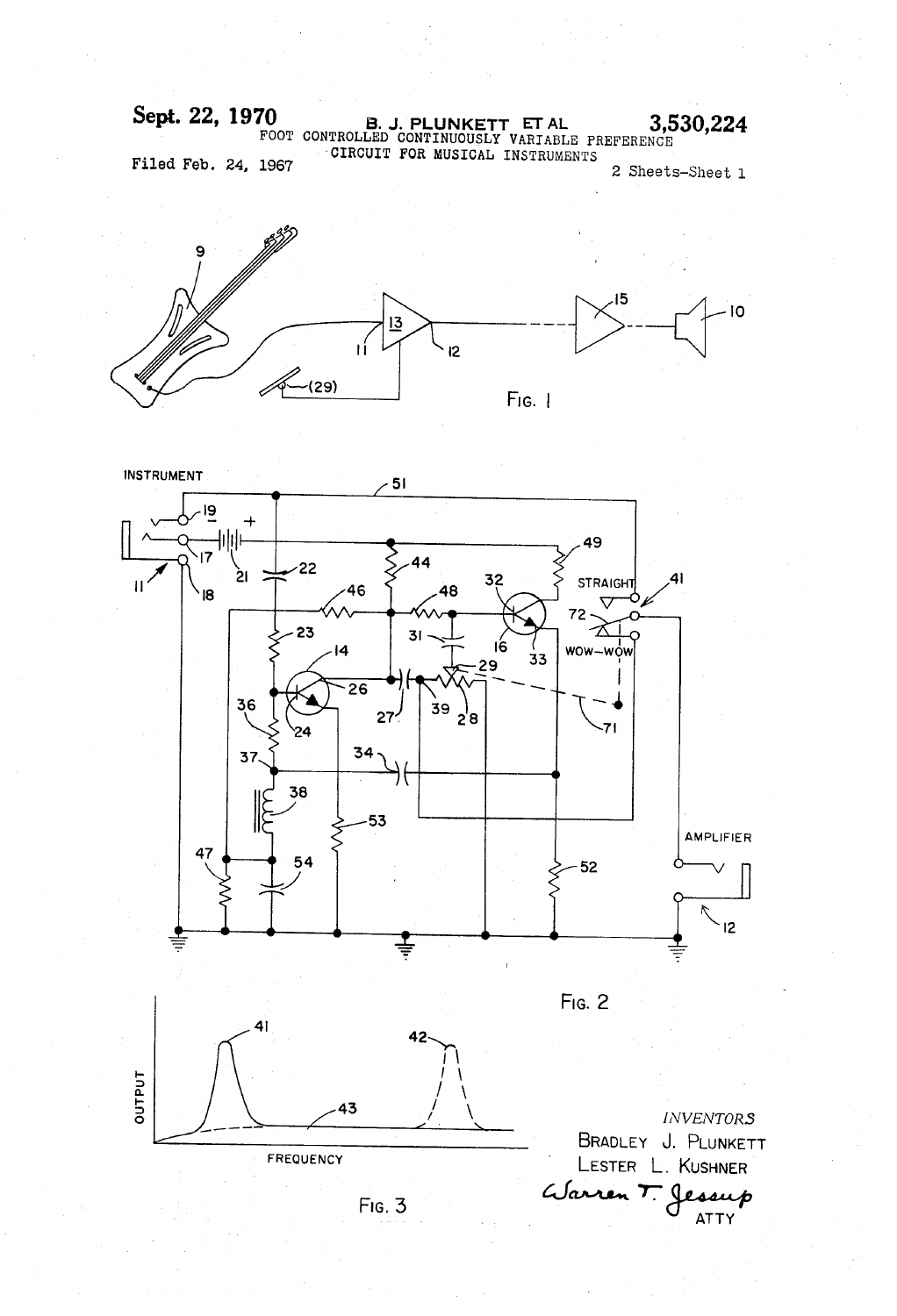Sept. 22, 1970 B. J. PLUNKETT ET AL 3,530,224 Filed Feb. 24, 1967 'CIRCUIT FOR MUSICAL INSTRUMENTS 2 Sheets-Sheet l





 $Fig. 3$ 

ATTY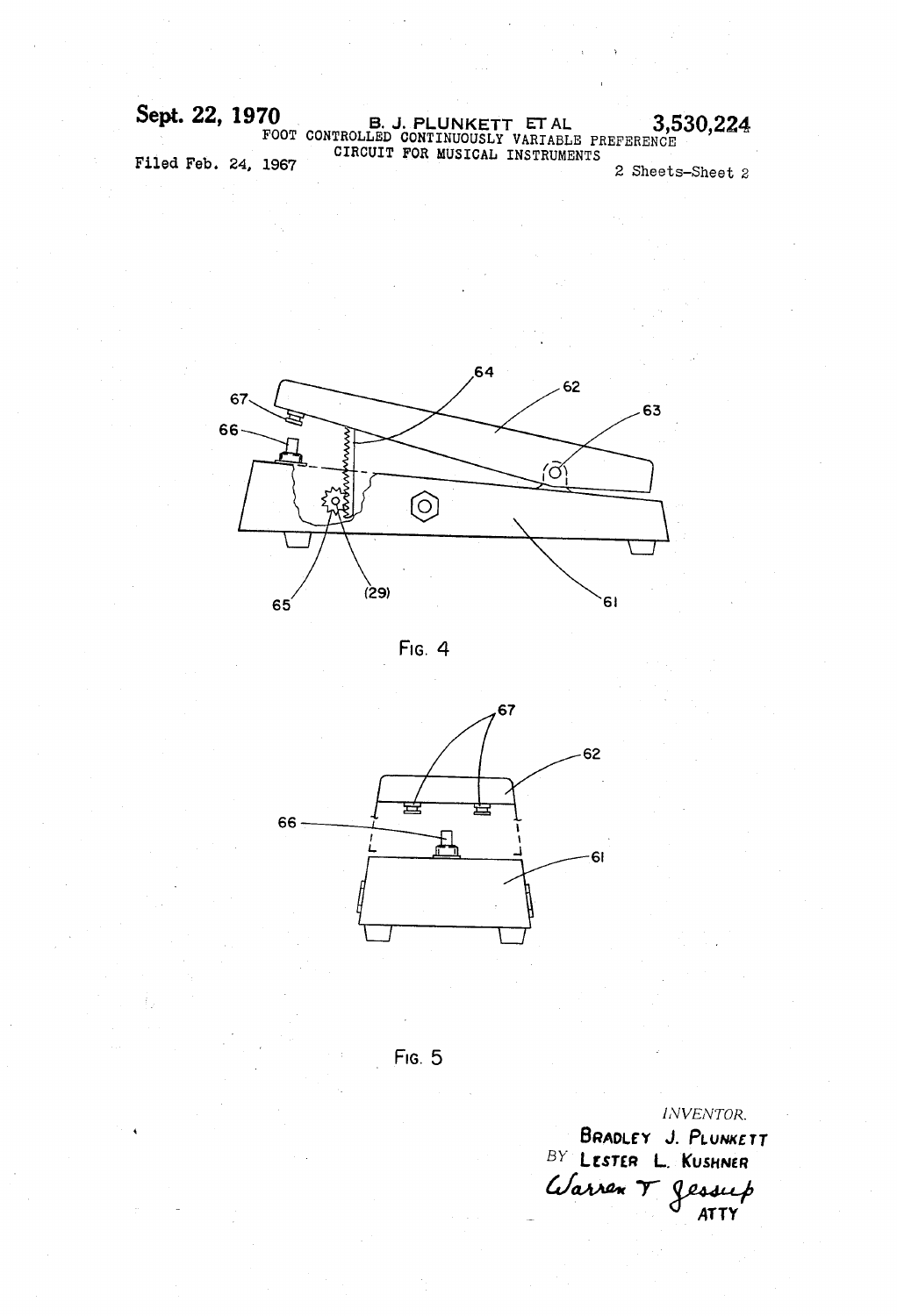Sept. 22, 1970 B. J. PLUNKETT ET AL 3,530,224 FOOT CONTROLLED CONTINUOUSLY VARIABLE PREFERENCE CIRCUIT FOR MUSICAL INSTRUMENTS 2 Sheets-Sheet 2 Filed Feb' 24, 1967







FIG. 5

JNVENTOR. BRADLEY J. PLUNKETT BY LESTER L. KUSHNER Warren T Jessup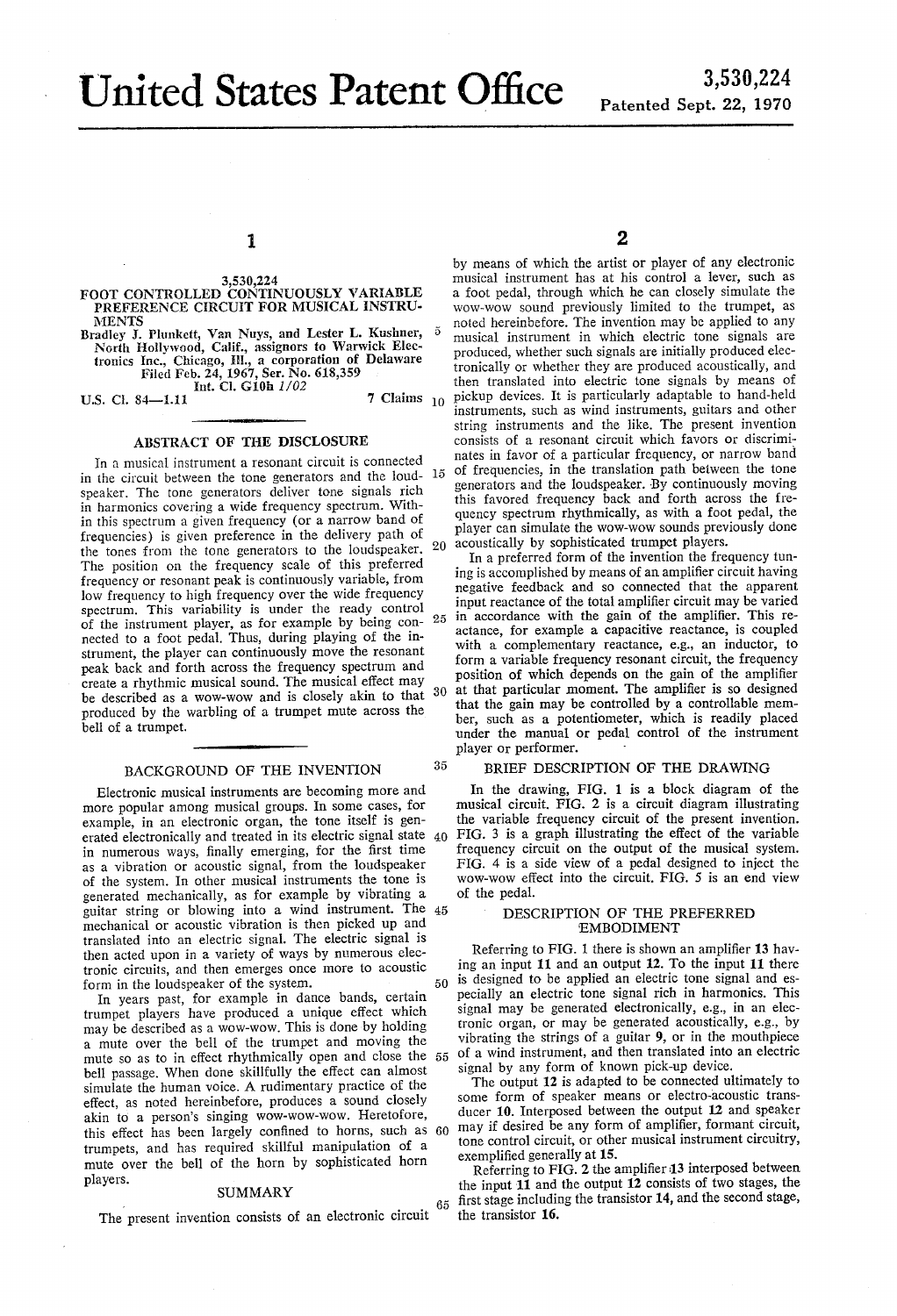# United States Patent Office

### 1

#### 3,530,224 FOOT CONTROLLED CONTINUOUSLY VARIABLE PREFERENCE CIRCUIT FOR MUSICAL INSTRU **MENTS**

Bradley J. Plunkett, Van Nuys, and Lester L. Kushner, North Hollywood, Calif., assignors to Warwick Elec tronics Inc., Chicago, III., a corporation of Delaware Filed Feb. 24, 1967, Ser. No. 618,359 Int. Cl. G10h 1/02

U.S. Cl. 84-1.11

## 7 Claims  $10$

 $35$ 

#### ABSTRACT OF THE DISCLOSURE

In a musical instrument a resonant circuit is connected in the circuit between the tone generators and the loud- $15$ speaker. The tone generators deliver tone signals rich in harmonics covering a wide frequency spectrum. With in this spectrum a given frequency (or a narrow band of frequencies) is given preference in the delivery path of the tones from the tone generators to the loudspeaker. The position on the frequency scale of this preferred requency or resonant peak is continuously variable, from low frequency to high frequency over the wide frequency spectrum. This variability is under the ready control of the instrument player, as for example by being con-  $25$ nected to a foot pedal. Thus, during playing of the in strument, the player can continuously move the resonant peak back and forth across the frequency spectrum and create a rhythmic musical sound. The musical effect may be described as a wow-wow and is closely akin to that 30 produced by the warbling of a trumpet mute across the bell of a trumpet.

# BACKGROUND OF THE INVENTION

Electronic musical instruments are becoming more and more popular among musical groups. In some cases, for example, in an electronic organ, the tone itself is gen erated electronically and treated in its electric signal state 40 in numerous ways, finally emerging, for the first time as a vibration or acoustic signal, from the loudspeaker of the system. In other musical instruments the tone is generated mechanically, as for example by vibrating a generated mechanically, as for example by vibrating a guitar string or blowing into a wind instrument. The 45 mechanical or acoustic vibration is then picked up and translated into an electric signal. The electric signal is then acted upon in a variety of ways by numerous elec tronic circuits, and then emerges once more to acoustic form in the loudspeaker of the system. 50

In years past, for example in dance bands, certain trumpet players have produced a unique effect which may be described as a WOW-WOW. This is done by holding a mute over the bell of the trumpet and moving the mute so as to in effect rhythmically open and close the bell passage. When done skillfully the effect can almost simulate the human voice. A rudimentary practice of the effect, as noted hereinbefore, produces a sound closely akin to a person's singing wow-wow-wow. Heretofore, this effect has been largely confined to horns, such as 60 may if desired be any form of amplifier, formant circuit, trumpets, and has required skillful manipulation of a mute over the bell of the horn by sophisticated horn players.

#### SUMMARY

65 The present invention consists of an electronic circuit

by means of which the artist or player of any electronic musical instrument has at his control a lever, such as a foot pedal, through which he can closely simulate the wow-wow sound previously limited to the trumpet, as noted hereinbefore. The invention may be applied to any musical instrument in which electric tone signals are produced, whether such signals are initially produced elec tronically or whether they are produced acoustically, and then translated into electric tone signals by means of pickup devices. It is particularly adaptable to hand-held instruments, such as wind instruments, guitars and other string instruments and the like. The present invention consists of a resonant circuit which favors or discrimi nates in favor of a particular frequency, or narrow band of frequencies, in the translation path between the tone generators and the loudspeaker. By continuously moving this favored frequency back and forth across the fre quency spectrum rhythmically, as with a foot pedal, the player can simulate the wow-wow sounds previously done acoustically by sophisticated trumpet players.

In a preferred form of the invention the frequency tun ing is accomplished by means of an amplifier circuit having negative feedback and so connected that the apparent input reactance of the total amplifier circuit may be varied in accordance with the gain of the amplifier. This reactance, for example a capacitive reactance, is coupled with a complementary reactance, e.g., an inductor, to form a variable frequency resonant circuit, the frequency position of which depends on the gain of the amplifier at that particular moment. The amplifier is so designed that the gain may be controlled by a controllable mem ber, such as a potentiometer, which is readily placed under the manual or pedal control of the instrument player or performer.

#### BRIEF DESCRIPTION OF THE DRAWING

In the drawing, FIG. 1 is a block diagram of the musical circuit. FIG. 2 is a circuit diagram illustrating the variable frequency circuit of the present invention. FIG. 3 is a graph illustrating the effect of the variable frequency circuit on the output of the musical system. FIG. 4 is a side view of a pedal designed to inject the wow-wow effect into the circuit. FIG. 5 is an end view of the pedal.

#### DESCRIPTION OF THE PREFERRED 'EMBODIMENT

Referring to FIG. 1 there is shown an amplifier 13 having an input 11 and an output 12. To the input 11 there is designed to be applied an electric tone signal and es pecially an electric tone signal rich in harmonics. This signal may be generated electronically, e.g., in an elec tronic organ, or may be generated acoustically, e.g., by vibrating the strings of a guitar 9, or in the mouthpiece of a wind instrument, and then translated into an electric signal by any form of known pick-up device.

The output 12 is adapted to be connected ultimately to some form of speaker means or electro-acoustic trans ducer 10. Interposed between the output 12 and speaker tone control circuit, or other musical instrument circuitry, exemplified generally at 15.

Referring to FIG. 2 the amplifier 13 interposed between the input  $11$  and the output  $12$  consists of two stages, the first stage including the transistor 14, and the second stage, the transistor 16.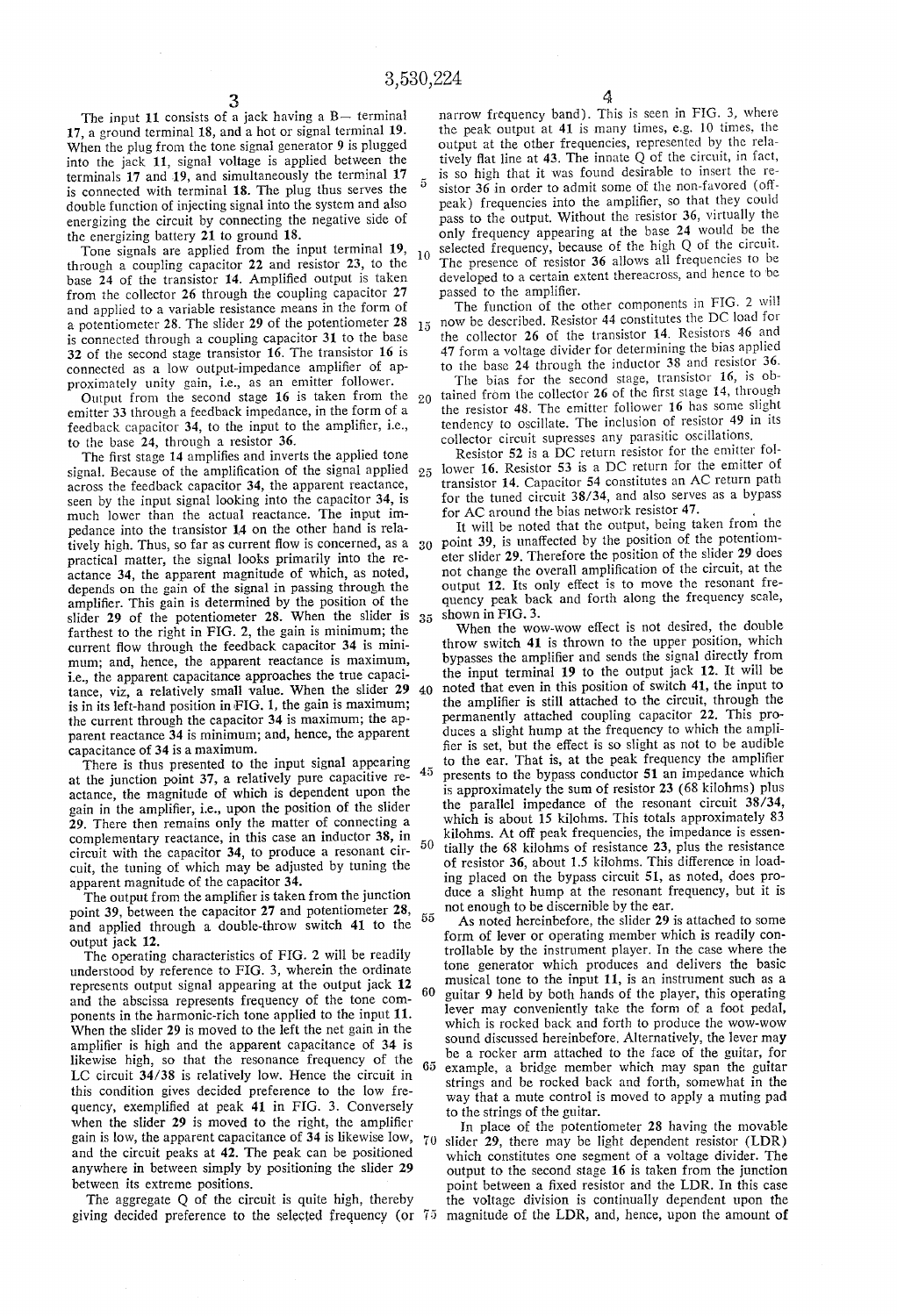The input 11 consists of a jack having a B— terminal 17, a ground terminal 18, and a hot or signal terminal 19. When the plug from the tone signal generator 9 is plugged into the jack 11, signal voltage is applied between the terminals  $17$  and  $19$ , and simultaneously the terminal  $17$ is connected with terminal 18. The plug thus serves the double function of injecting signal into the system and also energizing the circuit by connecting the negative side of the energizing battery 21 to ground 18.

Tone signals are applied from the input terminal 19, 10 through a coupling capacitor 22 and resistor 23, to the base 24 of the transistor 14. Amplified output is taken from the collector 26 through the coupling capacitor 27 and applied to a variable resistance means in the form of a potentiometer 28. The slider 29 of the potentiometer 28  $15$ is connected through a coupling capacitor 31 to the base 32 of the second stage transistor 16. The transistor 16 is connected as a low output-impedance amplifier of approximately unity gain, i.e., as an emitter follower.

Output from the second stage 16 is taken from the  $20$ emitter 33 through a feedback impedance, in the form of a feedback capacitor 34, to the input to the amplifier, i.e., to the base 24, through a resistor 36.

The first stage 14 amplifies and inverts the applied tone signal. Because of the amplification of the signal applied 25 across the feedback capacitor 34, the apparent reactance, seen by the input signal looking into the capacitor 34, is much lower than the actual reactance. The input im pedance into the transistor 14 on the other hand is rela fively high. Thus, so far as current flow is concerned, as a  $30$  practical matter, the signal looks primarily into the reactance 34, the apparent magnitude of which, as noted, depends on the gain of the signal in passing through the amplifier. This gain is determined by the position of the slider 29 of the potentiometer 28. When the slider is  $-35$ farthest to the right in FIG. 2, the gain is minimum; the current flow through the feedback capacitor 34 is minimum; and, hence, the apparent reactance is maximum, i.e., the apparent capacitance approaches the true capaci tance, viz, a relatively small value. When the slider 29 40 is in its left-hand position in FIG. 1, the gain is maximum; the current through the capacitor 34 is maximum; the ap parent reactance 34 is minimum; and, hence, the apparent capacitance of 34 is a maximum.

There is thus presented to the input signal appearing  $45$ at the junction point 37, a relatively pure capacitive re actance, the magnitude of which is dependent upon the gain in the amplifier, i.e., upon the position of the slider 29. There then remains only the matter of connecting a complementary reactance, in this case an inductor 38, in 50 circuit with the capacitor 34, to produce a resonant cir cuit, the tuning of which may be adjusted by tuning the apparent magnitude of the capacitor 34.

The output from the amplifier is taken from the junction point 39, between the capacitor 27 and potentiometer 28,  $55$ and applied through a double-throw switch 41 to the output jack 12.

The operating characteristics of FIG. 2 will be readily understood by reference to FIG. 3, wherein the ordinate represents output signal appearing at the output jack 12 60 and the abscissa represents frequency of the tone com ponents in the harmonic-rich tone applied to the input 11. When the slider 29 is moved to the left the net gain in the amplifier is high and the apparent capacitance of 34 is likewise high, so that the resonance frequency of the 65 LC circuit 34/38 is relatively low. Hence the circuit in this condition gives decided preference to the low fre quency, exemplified at peak 41 in FIG. 3. Conversely when the slider  $29$  is moved to the right, the amplifier gain is low, the apparent capacitance of 34 is likewise low, 70 and the circuit peaks at 42. The peak can be positioned anywhere in between simply by positioning the slider 29 between its extreme positions.

The aggregate Q of the circuit is quite high, thereby giving decided preference to the selected frequency (or magnitude of the LDR, and, hence, upon the amount of

 $\frac{4}{3}$  narrow frequency band). This is seen in FIG. 3, where the peak output at 41 is many times, e.g. 10 times, the output at the other frequencies, represented by the rela tively flat line at  $43$ . The innate Q of the circuit, in fact, is so high that it was found desirable to insert the re sistor 36 in order to admit some of the non-favored (off peak) frequencies into the amplifier, so that they could pass to the output. Without the resistor 36, virtually the only frequency appearing at the base 24 would be the selected frequency, because of the high Q of the circuit. The presence of resistor 36 allows all frequencies to be developed to a certain extent thereacross, and hence to 'be passed to the amplifier.

The function of the other components in FIG. 2 will now be described. Resistor 44 constitutes the DC load for the collector 26 of the transistor 14. Resistors 46 and 47 form a voltage divider for determining the bias applied to the base 24 through the inductor 38 and resistor 36.

The bias for the second stage, transistor 16, is obtained from the collector  $26$  of the first stage 14, through the resistor 48. The emitter follower 16 has some slight tendency to oscillate. The inclusion of resistor 49 in its collector circuit supresses any parasitic oscillations,

Resistor 52 is a DC return resistor for the emitter fol lower 16. Resistor 53 is a DC return for the emitter of transistor 14. Capacitor 54 constitutes an AC return path for the tuned circuit 38/34, and also serves as a bypass for AC around the bias network resistor 47.

It will be noted that the output, being taken from the point 39, is unaffected by the position of the potentiom eter slider 29. Therefore the position of the slider 29 does not change the overall amplification of the circuit, at the output 12. Its only effect is to move the resonant fre quency peak back and forth along the frequency scale, shown in FIG. 3.

When the wow-wow etfect is not desired, the double throw switch 41 is thrown to the upper position, which bypasses the amplifier and sends the signal directly from the input terminal 19 to the output jack 12. It will be noted that even in this position of switch 41, the input to the amplifier is still attached to the circuit, through the permanently attached coupling capacitor 22. This pro duces a slight hump at the frequency to which the ampli fier is set, but the effect is so slight as not to be audible to the ear. That is, at the peak frequency the amplifier presents to the bypass conductor 51 an impedance which is approximately the sum of resistor 23 (68 kilohms) plus the parallel impedance of the resonant circuit 38/34, which is about 15 kilohms. This totals approximately 83 kilohms. At off peak frequencies, the impedance is essentially the 68 kilohms of resistance 23, plus the resistance of resistor 36, about 1.5 kilohms. This difference in load ing placed on the bypass circuit 51, as noted, does pro duce a slight hump at the resonant frequency, but it is not enough to be discernible by the ear.

As noted hereinbefore, the slider 29 is attached to some form of lever or operating member which is readily controllable by the instrument player. In the case where the tone generator which produces and delivers the basic musical tone to the input 11, is an instrument such as a guitar 9 held by both hands of the player, this operating lever may conveniently take the form of a foot pedal, which is rocked back and forth to produce the wow-wow sound discussed hereinbefore. Alternatively, the lever may be a rocker arm attached to the face of the guitar, for example, a bridge member which may span the guitar strings and be rocked back and forth, somewhat in the way that a mute control is moved to apply a muting pad to the strings of the guitar.

In place of the potentiometer 28 having the movable slider 29, there may be light dependent resistor (LDR) which constitutes one segment of a voltage divider. The output to the second stage 16 is taken from the junction point between a fixed resistor and the LDR. In this case the voltage division is continually dependent upon the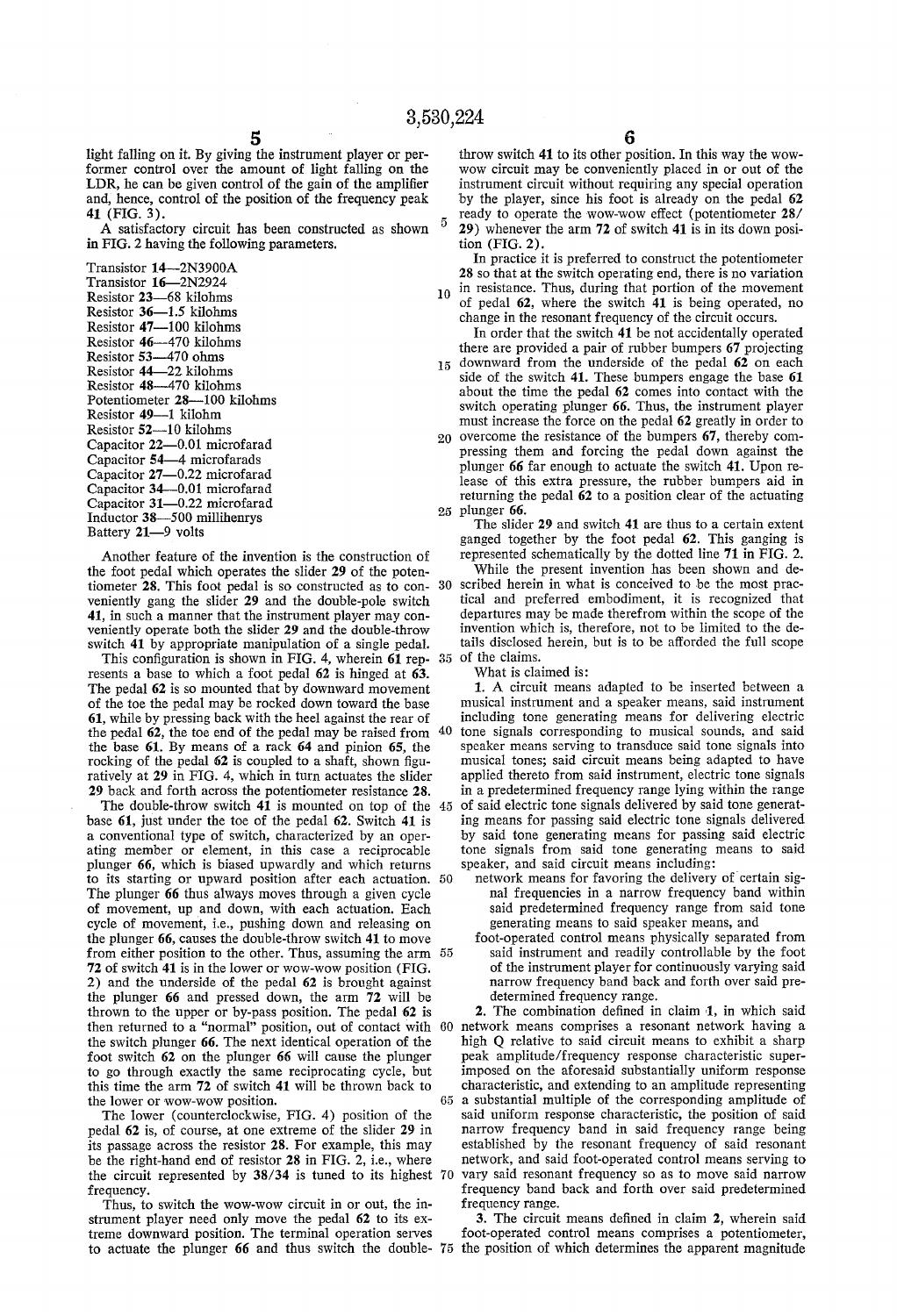light falling on it. By giving the instrument player or per former control over the amount of light falling on the LDR, he can be given control of the gain of the amplifier and, hence, control of the position of the frequency peak 41 (FIG. 3).

A satisfactory circuit has been constructed as shown in FIG. 2 having the following parameters.

Transistor 14-2N3900A Transistor 16-2N2924 Resistor 23-68 kilohms Resistor 36-1.5 kilohms Resistor 47-100 kilohms Resistor 46-470 kilohms Resistor 53-470 ohms Resistor 44-22 kilohms Resistor 48-470 kilohms Potentiometer 28-100 kilohms Resistor 49-1 kilohm Resistor 52-10 kilohms Capacitor 22-0.01 microfarad Capacitor 54—4 microfarads Capacitor 27—0.22 microfarad Capacitor 34—0.01 microfarad Capacitor 31—0.22 microfarad Inductor 38-500 millihenrys Battery 21-9 volts

Another feature of the invention is the construction of the foot pedal which operates the slider 29 of the poten tiometer 28. This foot pedal is so constructed as to con- 30 veniently gang the slider 29 and the double-pole switch 41, in such a manner that the instrument player may con veniently operate both the slider 29 and the double-throw switch 41 by appropriate manipulation of a single pedal.

This configuration is shown in FIG. 4, wherein  $61$  represents a base to which a foot pedal 62 is hinged at 63. The pedal 62 is so mounted that by downward movement of the toe the pedal may be rocked down toward the base 61, while by pressing back with the heel against the rear of the nedal  $62$ , the toe end of the nedal may be raised from 40 the pedal 62, the toe end of the pedal may be raised from the base 61. By means of a rack 64 and pinion 65, the rocking of the pedal  $62$  is coupled to a shaft, shown figuratively at 29 in FIG. 4, which in turn actuates the slider 29 back and forth across the potentiometer resistance 28.

The double-throw switch  $4\overline{1}$  is mounted on top of the 45 base 61, just under the toe of the pedal 62. Switch 41 is a conventional type of switch, characterized by an oper ating member or element, in this case a reciprocable plunger 66, which is biased upwardly and which returns to its starting or upward position after each actuation. The plunger 66 thus always moves through a given cycle of movement, up and down, with each actuation. Each cycle of movement, i.e., pushing down and releasing on the plunger 66, causes the double-throw switch 41 to move from either position to the other. Thus, assuming the arm 55 72 of switch 41 is in the lower or wow-wow position (FIG. 2) and the underside of the pedal 62 is brought against the plunger 66 and pressed down, the arm 72 will be thrown to the upper or by-pass position. The pedal 62 is then returned to a "normal" position, out of contact with the switch plunger 66. The next identical operation of the foot switch 62 on the plunger 66 will cause the plunger to go through exactly the same reciprocating cycle, but this time the arm 72 of switch 41 will be thrown back to the lower or wow-wow position.

The lower (counterclockwise, FIG. 4) position of the pedal 62 is, of course, at one extreme of the slider 29 in its passage across the resistor 28. For example, this may be the right-hand end of resistor 28 in FIG. 2, i.e., where the circuit represented by 38/34 is tuned to its highest 70 frequency.

Thus, to switch the wow-wow circuit in or out, the in strument player need only move the pedal 62 to its ex treme downward position. The terminal operation serves  $\frac{6}{10}$  throw switch 41 to its other position. In this way the wowwow circuit may be conveniently placed in or out of the instrument circuit without requiring any special operation by the player, since his foot is already on the pedal 62 ready to operate the wow-wow effect (potentiometer 28/ 29) whenever the arm  $72$  of switch  $41$  is in its down position (FIG. 2).

In practice it is preferred to construct the potentiometer 28 so that at the switch operating end, there is no variation

 $10$  in resistance. Thus, during that portion of the movement of pedal 62, where the switch 41 is being operated, no change in the resonant frequency of the circuit occurs.

In order that the switch 41 be not accidentally operated there are provided a pair of rubber bumpers 67 projecting

15 downward from the underside of the pedal 62 on each side of the switch 41. These bumpers engage the base 61 about the time the pedal 62 comes into contact with the switch operating plunger 66. Thus, the instrument player must increase the force on the pedal 62 greatly in order to

20 overcome the resistance of the bumpers 67, thereby compressing them and forcing the pedal down against the plunger 66 far enough to actuate the switch 41. Upon re lease of this extra pressure, the rubber bumpers aid in returning the pedal 62 to a position clear of the actuating 25 plunger 66.

The slider 29 and switch 41 are thus to a certain extent ganged together by the foot pedal 62. This ganging is represented schematically by the dotted line 71 in FIG. 2.

35 While the present invention has been shown and de~ scribed herein in what is conceived to be the most prac tical and preferred embodiment, it is recognized that departures may be made therefrom within the scope of the invention which is, therefore, not to be limited to the de tails disclosed herein, but is to be afforded the full scope of the claims.

What is claimed is:

1. A circuit means adapted to be inserted between a musical instrument and a speaker means, said instrument including tone generating means for delivering electric tone signals corresponding to musical sounds, and said speaker means serving to transduce said tone signals into musical tones; said circuit means being adapted to have applied thereto from said instrument, electric tone signals in a predetermined frequency range lying within the range of said electric tone signals delivered by said tone generat ing means for passing said electric tone signals delivered by said tone generating means for passing said electric tone signals from said tone generating means to said speaker, and said circuit means including:

network means for favoring the delivery of certain signal frequencies in a narrow frequency band within said predetermined frequency range from said tone generating means to said speaker means, and

foot-operated control means physically separated from said instrument and readily controllable by the foot of the instrument player for continuously varying said narrow frequency hand back and forth over said pre determined frequency range.

60 65 characteristic, and extending to an amplitude representing a substantial multiple of the corresponding amplitude of 2. The combination defined in claim 1, in which said network means comprises a resonant network having a high Q relative to said circuit means to exhibit a sharp peak amplitude/frequency response characteristic super imposed on the aforesaid substantially uniform response characteristic, and extending to an amplitude representing said uniform response characteristic, the position of said narrow frequency band in said frequency range being established by the resonant frequency of said resonant network, and said foot-operated control means serving to vary said resonant frequency so as to move said narrow frequency band back and forth over said predetermined frequency range.

to actuate the plunger 66 and thus switch the double- 75 the position of which determines the apparent magnitude 3. The circuit means defined in claim 2, wherein said foot-operated control means comprises a potentiometer,